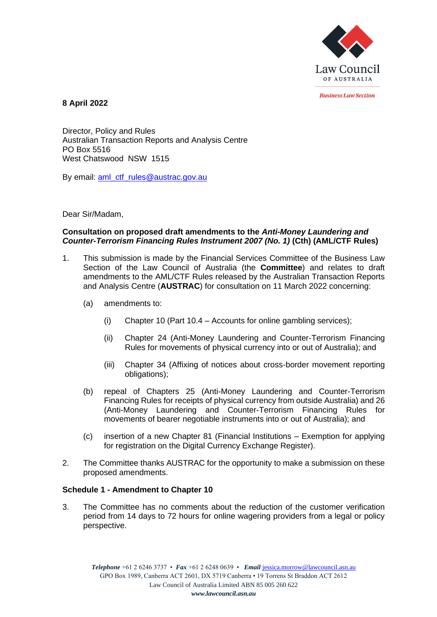

*<u>Rusiness Law Section</u>* 

**8 April 2022**

Director, Policy and Rules Australian Transaction Reports and Analysis Centre PO Box 5516 West Chatswood NSW 1515

By email: [aml\\_ctf\\_rules@austrac.gov.au](mailto:aml_ctf_rules@austrac.gov.au)

Dear Sir/Madam,

# **Consultation on proposed draft amendments to the** *Anti-Money Laundering and Counter-Terrorism Financing Rules Instrument 2007 (No. 1)* **(Cth) (AML/CTF Rules)**

- 1. This submission is made by the Financial Services Committee of the Business Law Section of the Law Council of Australia (the **Committee**) and relates to draft amendments to the AML/CTF Rules released by the Australian Transaction Reports and Analysis Centre (**AUSTRAC**) for consultation on 11 March 2022 concerning:
	- (a) amendments to:
		- (i) Chapter 10 (Part 10.4 Accounts for online gambling services);
		- (ii) Chapter 24 (Anti-Money Laundering and Counter-Terrorism Financing Rules for movements of physical currency into or out of Australia); and
		- (iii) Chapter 34 (Affixing of notices about cross-border movement reporting obligations);
	- (b) repeal of Chapters 25 (Anti-Money Laundering and Counter-Terrorism Financing Rules for receipts of physical currency from outside Australia) and 26 (Anti-Money Laundering and Counter-Terrorism Financing Rules for movements of bearer negotiable instruments into or out of Australia); and
	- (c) insertion of a new Chapter 81 (Financial Institutions Exemption for applying for registration on the Digital Currency Exchange Register).
- 2. The Committee thanks AUSTRAC for the opportunity to make a submission on these proposed amendments.

# **Schedule 1 - Amendment to Chapter 10**

3. The Committee has no comments about the reduction of the customer verification period from 14 days to 72 hours for online wagering providers from a legal or policy perspective.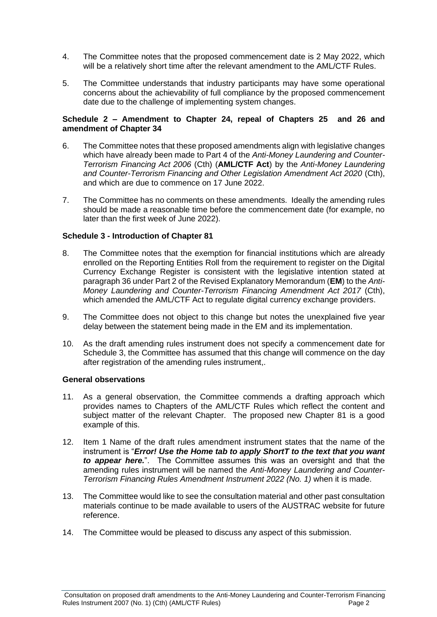- 4. The Committee notes that the proposed commencement date is 2 May 2022, which will be a relatively short time after the relevant amendment to the AML/CTF Rules.
- 5. The Committee understands that industry participants may have some operational concerns about the achievability of full compliance by the proposed commencement date due to the challenge of implementing system changes.

## **Schedule 2 – Amendment to Chapter 24, repeal of Chapters 25 and 26 and amendment of Chapter 34**

- 6. The Committee notes that these proposed amendments align with legislative changes which have already been made to Part 4 of the *Anti-Money Laundering and Counter-Terrorism Financing Act 2006* (Cth) (**AML/CTF Act**) by the *Anti-Money Laundering and Counter-Terrorism Financing and Other Legislation Amendment Act 2020* (Cth), and which are due to commence on 17 June 2022.
- 7. The Committee has no comments on these amendments. Ideally the amending rules should be made a reasonable time before the commencement date (for example, no later than the first week of June 2022).

## **Schedule 3 - Introduction of Chapter 81**

- 8. The Committee notes that the exemption for financial institutions which are already enrolled on the Reporting Entities Roll from the requirement to register on the Digital Currency Exchange Register is consistent with the legislative intention stated at paragraph 36 under Part 2 of the Revised Explanatory Memorandum (**EM**) to the *Anti-Money Laundering and Counter-Terrorism Financing Amendment Act 2017* (Cth), which amended the AML/CTF Act to regulate digital currency exchange providers.
- 9. The Committee does not object to this change but notes the unexplained five year delay between the statement being made in the EM and its implementation.
- 10. As the draft amending rules instrument does not specify a commencement date for Schedule 3, the Committee has assumed that this change will commence on the day after registration of the amending rules instrument,.

## **General observations**

- 11. As a general observation, the Committee commends a drafting approach which provides names to Chapters of the AML/CTF Rules which reflect the content and subject matter of the relevant Chapter. The proposed new Chapter 81 is a good example of this.
- 12. Item 1 Name of the draft rules amendment instrument states that the name of the instrument is "*Error! Use the Home tab to apply ShortT to the text that you want to appear here.*". The Committee assumes this was an oversight and that the amending rules instrument will be named the *Anti-Money Laundering and Counter-Terrorism Financing Rules Amendment Instrument 2022 (No. 1)* when it is made.
- 13. The Committee would like to see the consultation material and other past consultation materials continue to be made available to users of the AUSTRAC website for future reference.
- 14. The Committee would be pleased to discuss any aspect of this submission.